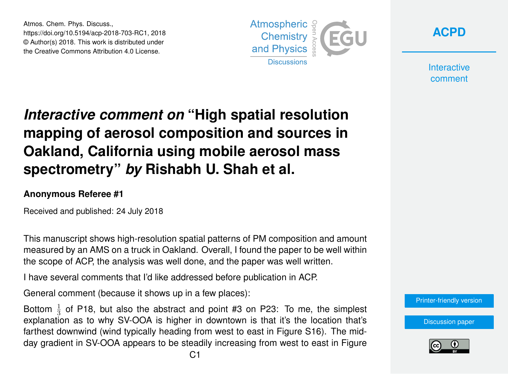Atmos. Chem. Phys. Discuss., https://doi.org/10.5194/acp-2018-703-RC1, 2018 © Author(s) 2018. This work is distributed under the Creative Commons Attribution 4.0 License.





**Interactive** comment

## *Interactive comment on* **"High spatial resolution mapping of aerosol composition and sources in Oakland, California using mobile aerosol mass spectrometry"** *by* **Rishabh U. Shah et al.**

## **Anonymous Referee #1**

Received and published: 24 July 2018

This manuscript shows high-resolution spatial patterns of PM composition and amount measured by an AMS on a truck in Oakland. Overall, I found the paper to be well within the scope of ACP, the analysis was well done, and the paper was well written.

I have several comments that I'd like addressed before publication in ACP.

General comment (because it shows up in a few places):

Bottom  $\frac{1}{3}$  of P18, but also the abstract and point #3 on P23: To me, the simplest explanation as to why SV-OOA is higher in downtown is that it's the location that's farthest downwind (wind typically heading from west to east in Figure S16). The midday gradient in SV-OOA appears to be steadily increasing from west to east in Figure



[Discussion paper](https://www.atmos-chem-phys-discuss.net/acp-2018-703)

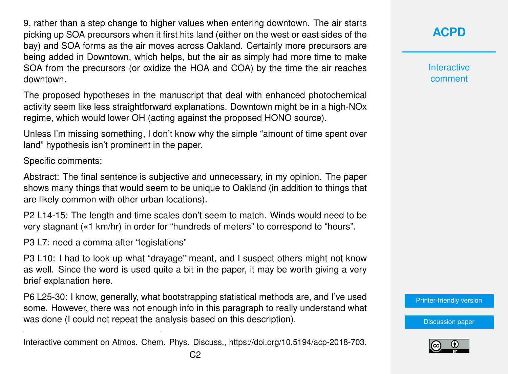9, rather than a step change to higher values when entering downtown. The air starts picking up SOA precursors when it first hits land (either on the west or east sides of the bay) and SOA forms as the air moves across Oakland. Certainly more precursors are being added in Downtown, which helps, but the air as simply had more time to make SOA from the precursors (or oxidize the HOA and COA) by the time the air reaches downtown.

The proposed hypotheses in the manuscript that deal with enhanced photochemical activity seem like less straightforward explanations. Downtown might be in a high-NOx regime, which would lower OH (acting against the proposed HONO source).

Unless I'm missing something, I don't know why the simple "amount of time spent over land" hypothesis isn't prominent in the paper.

Specific comments:

Abstract: The final sentence is subjective and unnecessary, in my opinion. The paper shows many things that would seem to be unique to Oakland (in addition to things that are likely common with other urban locations).

P2 L14-15: The length and time scales don't seem to match. Winds would need to be very stagnant («1 km/hr) in order for "hundreds of meters" to correspond to "hours".

P3 L7: need a comma after "legislations"

P3 L10: I had to look up what "drayage" meant, and I suspect others might not know as well. Since the word is used quite a bit in the paper, it may be worth giving a very brief explanation here.

P6 L25-30: I know, generally, what bootstrapping statistical methods are, and I've used some. However, there was not enough info in this paragraph to really understand what was done (I could not repeat the analysis based on this description).

**Interactive** comment

[Printer-friendly version](https://www.atmos-chem-phys-discuss.net/acp-2018-703/acp-2018-703-RC1-print.pdf)

[Discussion paper](https://www.atmos-chem-phys-discuss.net/acp-2018-703)



Interactive comment on Atmos. Chem. Phys. Discuss., https://doi.org/10.5194/acp-2018-703,